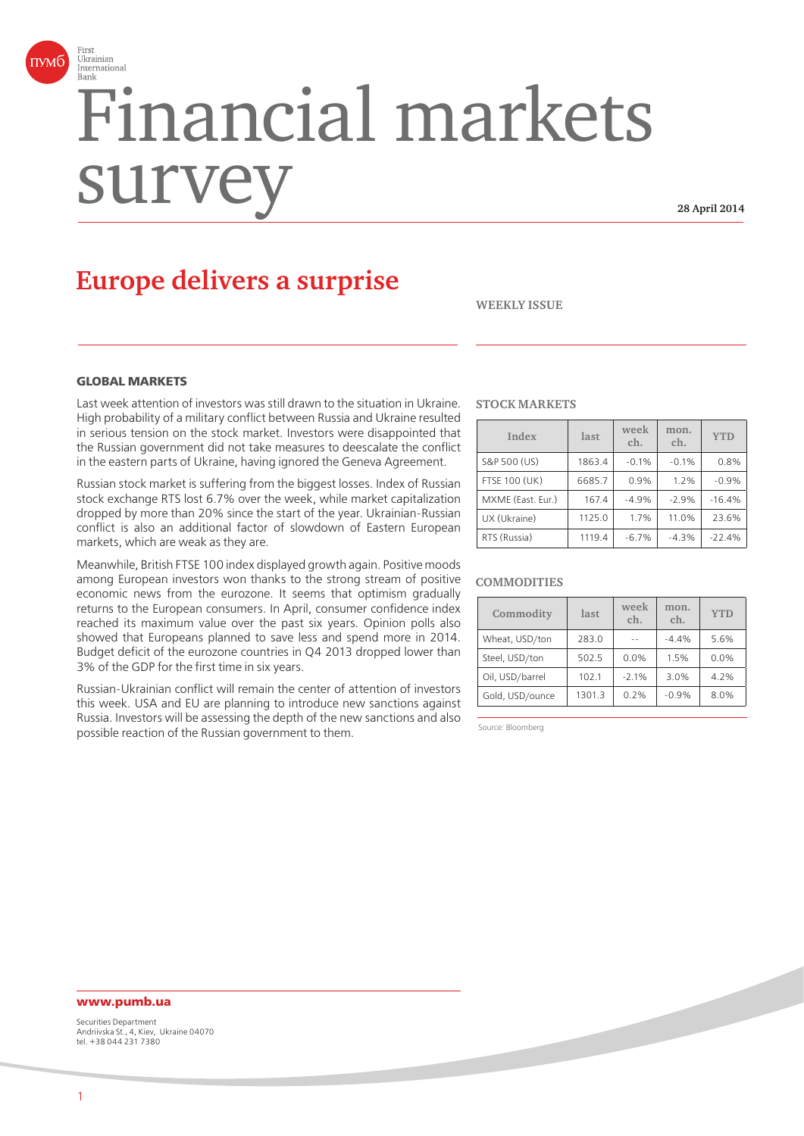

# Financial markets surv

**28 April 2014**

# **Europe delivers a surprise**

**WEEKLY ISSUE**

# **GLOBAL MARKETS**

Last week attention of investors was still drawn to the situation in Ukraine. High probability of a military conflict between Russia and Ukraine resulted in serious tension on the stock market. Investors were disappointed that the Russian government did not take measures to deescalate the conflict in the eastern parts of Ukraine, having ignored the Geneva Agreement.

Russian stock market is suffering from the biggest losses. Index of Russian stock exchange RTS lost 6.7% over the week, while market capitalization dropped by more than 20% since the start of the year. Ukrainian-Russian conflict is also an additional factor of slowdown of Eastern European markets, which are weak as they are.

Meanwhile, British FTSE 100 index displayed growth again. Positive moods among European investors won thanks to the strong stream of positive economic news from the eurozone. It seems that optimism gradually returns to the European consumers. In April, consumer confidence index reached its maximum value over the past six years. Opinion polls also showed that Europeans planned to save less and spend more in 2014. Budget deficit of the eurozone countries in Q4 2013 dropped lower than 3% of the GDP for the first time in six years.

Russian-Ukrainian conflict will remain the center of attention of investors this week. USA and EU are planning to introduce new sanctions against Russia. Investors will be assessing the depth of the new sanctions and also possible reaction of the Russian government to them.

#### **STOCK MARKETS**

| Index                | last   | week<br>ch. | mon.<br>ch. | <b>YTD</b> |
|----------------------|--------|-------------|-------------|------------|
| S&P 500 (US)         | 1863.4 | $-0.1%$     | $-0.1%$     | 0.8%       |
| <b>FTSE 100 (UK)</b> | 6685.7 | 0.9%        | 1.2%        | $-0.9%$    |
| MXME (East. Eur.)    | 167.4  | $-4.9%$     | $-2.9%$     | $-16.4%$   |
| UX (Ukraine)         | 1125.0 | 1.7%        | 11.0%       | 23.6%      |
| RTS (Russia)         | 1119.4 | $-6.7%$     | $-4.3%$     | $-22.4%$   |

#### **COMMODITIES**

| Commodity       | last   | week<br>ch. | mon.<br>ch. | <b>YTD</b> |
|-----------------|--------|-------------|-------------|------------|
| Wheat, USD/ton  | 283.0  | a a         | $-4.4%$     | 5.6%       |
| Steel, USD/ton  | 502.5  | 0.0%        | 1.5%        | 0.0%       |
| Oil, USD/barrel | 102.1  | $-2.1%$     | 3.0%        | 4.2%       |
| Gold, USD/ounce | 1301.3 | 0.2%        | $-0.9%$     | 8.0%       |

Source: Bloomberg

# **www.pumb.ua**

Securities Department Andriivska St., 4, Kiev, Ukraine 04070 tel. +38 044 231 7380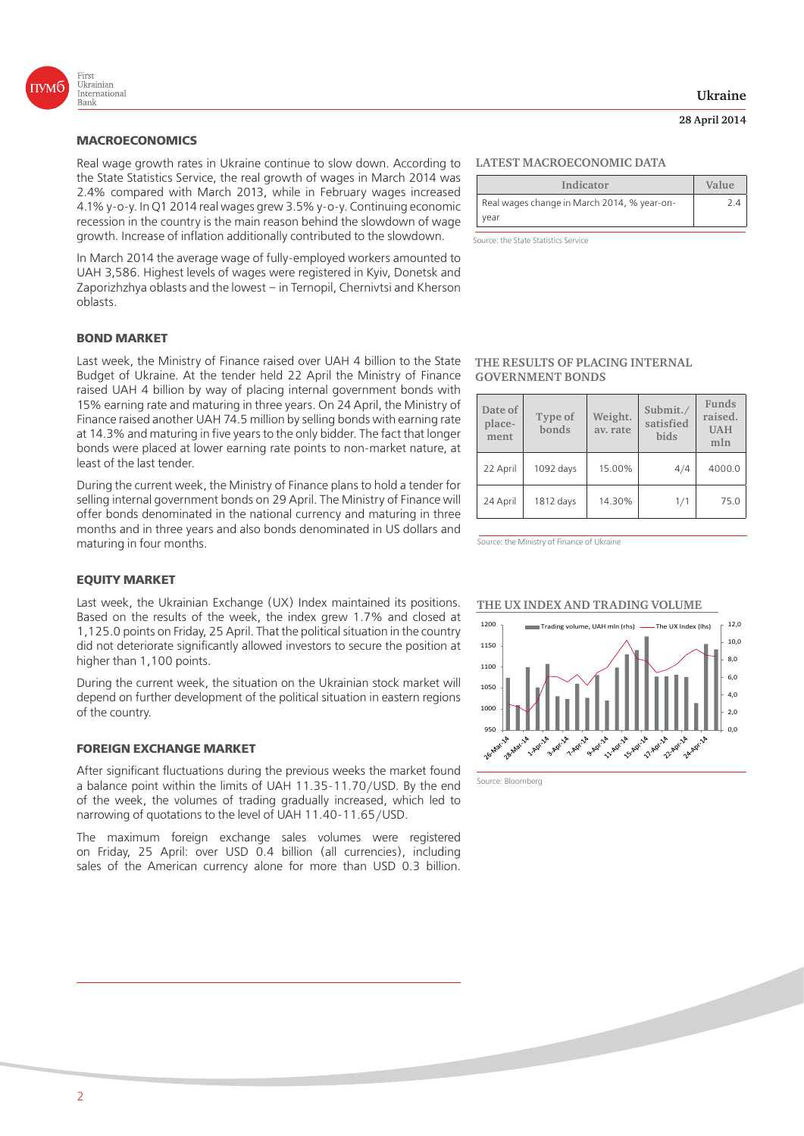

### **MACROECONOMICS**

Real wage growth rates in Ukraine continue to slow down. According to the State Statistics Service, the real growth of wages in March 2014 was 2.4% compared with March 2013, while in February wages increased 4.1% y-o-y. In Q1 2014 real wages grew 3.5% y-o-y. Continuing economic recession in the country is the main reason behind the slowdown of wage growth. Increase of inflation additionally contributed to the slowdown.

In March 2014 the average wage of fully-employed workers amounted to UAH 3,586. Highest levels of wages were registered in Kyiv, Donetsk and Zaporizhzhya oblasts and the lowest – in Ternopil, Chernivtsi and Kherson oblasts.

#### **BOND MARKET**

Last week, the Ministry of Finance raised over UAH 4 billion to the State Budget of Ukraine. At the tender held 22 April the Ministry of Finance raised UAH 4 billion by way of placing internal government bonds with 15% earning rate and maturing in three years. On 24 April, the Ministry of Finance raised another UAH 74.5 million by selling bonds with earning rate at 14.3% and maturing in five years to the only bidder. The fact that longer bonds were placed at lower earning rate points to non-market nature, at least of the last tender.

During the current week, the Ministry of Finance plans to hold a tender for selling internal government bonds on 29 April. The Ministry of Finance will offer bonds denominated in the national currency and maturing in three months and in three years and also bonds denominated in US dollars and maturing in four months.

#### **EQUITY MARKET**

Last week, the Ukrainian Exchange (UX) Index maintained its positions. Based on the results of the week, the index grew 1.7% and closed at 1,125.0 points on Friday, 25 April. That the political situation in the country did not deteriorate significantly allowed investors to secure the position at higher than 1,100 points.

During the current week, the situation on the Ukrainian stock market will depend on further development of the political situation in eastern regions of the country.

#### **FOREIGN EXCHANGE MARKET**

After significant fluctuations during the previous weeks the market found a balance point within the limits of UAH 11.35-11.70/USD. By the end of the week, the volumes of trading gradually increased, which led to narrowing of quotations to the level of UAH 11.40-11.65/USD.

The maximum foreign exchange sales volumes were registered on Friday, 25 April: over USD 0.4 billion (all currencies), including sales of the American currency alone for more than USD 0.3 billion.

#### **LATEST MACROECONOMIC DATA**

| Indicator                                   | Value |
|---------------------------------------------|-------|
| Real wages change in March 2014, % year-on- | 24    |
| vear                                        |       |

Source: the State Statistics Service

#### **THE RESULTS OF PLACING INTERNAL GOVERNMENT BONDS**

| Date of<br>place-<br>ment | Type of<br>bonds | Weight.<br>av. rate | Submit./<br>satisfied<br>bids | Funds<br>raised.<br><b>UAH</b><br>mln |
|---------------------------|------------------|---------------------|-------------------------------|---------------------------------------|
| 22 April                  | 1092 days        | 15.00%              | 4/4                           | 4000.0                                |
| 24 April                  | 1812 days        | 14.30%              | 1/1                           | 75.0                                  |

Source: the Ministry of Finance of Ukraine

#### **THE UX INDEX AND TRADING VOLUME**



Source: Bloomberg

# **Ukraine**

## **28 April 2014**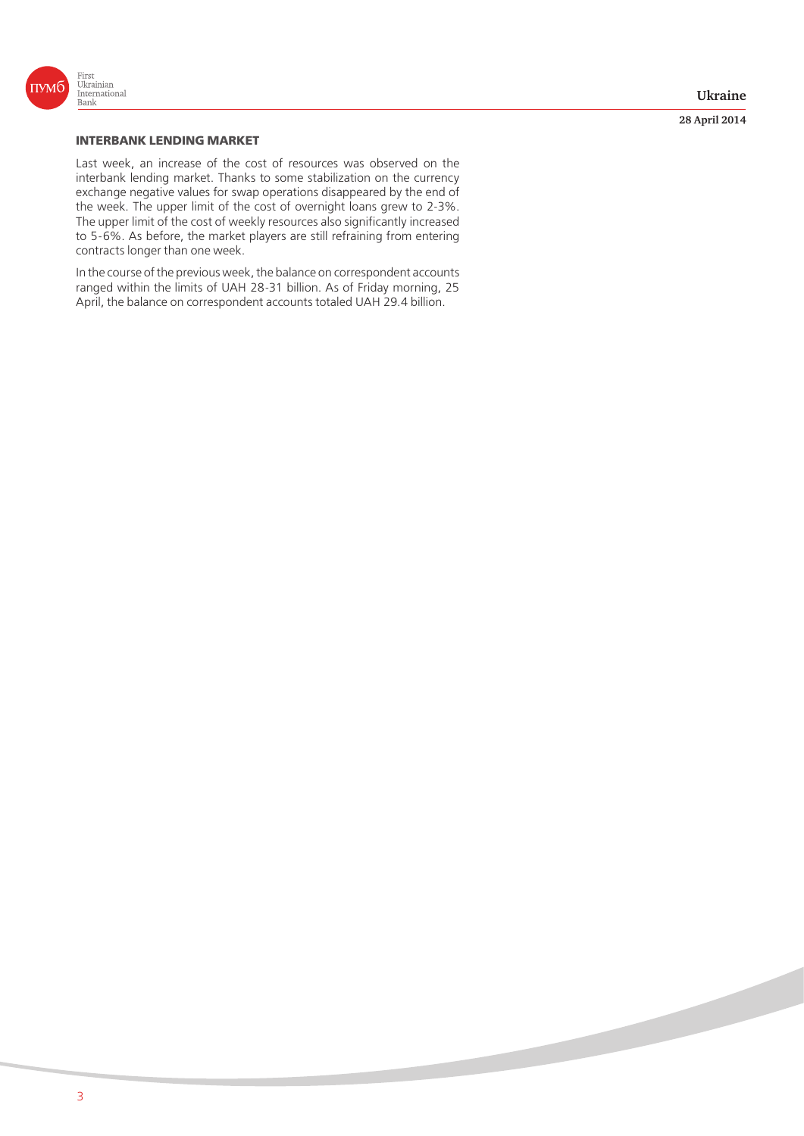

**28 April 2014**

## **INTERBANK LENDING MARKET**

Last week, an increase of the cost of resources was observed on the interbank lending market. Thanks to some stabilization on the currency exchange negative values for swap operations disappeared by the end of the week. The upper limit of the cost of overnight loans grew to 2-3%. The upper limit of the cost of weekly resources also significantly increased to 5-6%. As before, the market players are still refraining from entering contracts longer than one week.

In the course of the previous week, the balance on correspondent accounts ranged within the limits of UAH 28-31 billion. As of Friday morning, 25 April, the balance on correspondent accounts totaled UAH 29.4 billion.